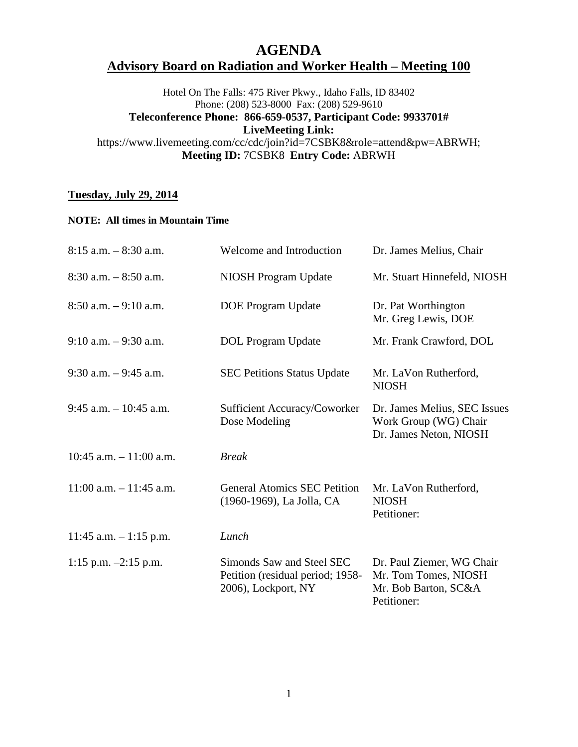## **AGENDA Advisory Board on Radiation and Worker Health – Meeting 100**

Hotel On The Falls: 475 River Pkwy., Idaho Falls, ID 83402 Phone: (208) 523-8000 Fax: (208) 529-9610 **Teleconference Phone: 866-659-0537, Participant Code: 9933701# LiveMeeting Link:** https://www.livemeeting.com/cc/cdc/join?id=7CSBK8&role=attend&pw=ABRWH; **Meeting ID:** 7CSBK8 **Entry Code:** ABRWH

## **Tuesday, July 29, 2014**

## **NOTE: All times in Mountain Time**

| $8:15$ a.m. $-8:30$ a.m.   | Welcome and Introduction                                                             | Dr. James Melius, Chair                                                                  |
|----------------------------|--------------------------------------------------------------------------------------|------------------------------------------------------------------------------------------|
| $8:30$ a.m. $-8:50$ a.m.   | NIOSH Program Update                                                                 | Mr. Stuart Hinnefeld, NIOSH                                                              |
| $8:50$ a.m. $-9:10$ a.m.   | <b>DOE</b> Program Update                                                            | Dr. Pat Worthington<br>Mr. Greg Lewis, DOE                                               |
| $9:10$ a.m. $-9:30$ a.m.   | <b>DOL</b> Program Update                                                            | Mr. Frank Crawford, DOL                                                                  |
| $9:30$ a.m. $-9:45$ a.m.   | <b>SEC Petitions Status Update</b>                                                   | Mr. LaVon Rutherford,<br><b>NIOSH</b>                                                    |
| $9:45$ a.m. $-10:45$ a.m.  | Sufficient Accuracy/Coworker<br>Dose Modeling                                        | Dr. James Melius, SEC Issues<br>Work Group (WG) Chair<br>Dr. James Neton, NIOSH          |
| $10:45$ a.m. $-11:00$ a.m. | <b>Break</b>                                                                         |                                                                                          |
| $11:00$ a.m. $-11:45$ a.m. | <b>General Atomics SEC Petition</b><br>(1960-1969), La Jolla, CA                     | Mr. LaVon Rutherford,<br><b>NIOSH</b><br>Petitioner:                                     |
| $11:45$ a.m. $-1:15$ p.m.  | Lunch                                                                                |                                                                                          |
| 1:15 p.m. $-2:15$ p.m.     | Simonds Saw and Steel SEC<br>Petition (residual period; 1958-<br>2006), Lockport, NY | Dr. Paul Ziemer, WG Chair<br>Mr. Tom Tomes, NIOSH<br>Mr. Bob Barton, SC&A<br>Petitioner: |